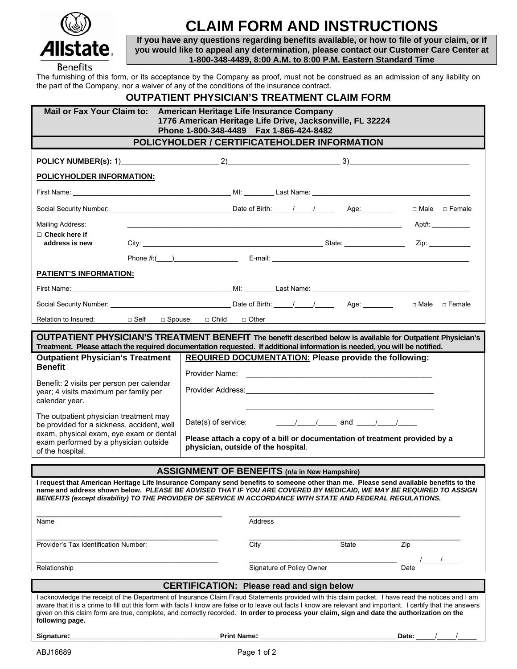

## **CLAIM FORM AND INSTRUCTIONS**

**If you have any questions regarding benefits available, or how to file of your claim, or if you would like to appeal any determination, please contact our Customer Care Center at 1-800-348-4489, 8:00 A.M. to 8:00 P.M. Eastern Standard Time**

The furnishing of this form, or its acceptance by the Company as proof, must not be construed as an admission of any liability on the part of the Company, nor a waiver of any of the conditions of the insurance contract.

## **OUTPATIENT PHYSICIAN'S TREATMENT CLAIM FORM**

| Mail or Fax Your Claim to: American Heritage Life Insurance Company |
|---------------------------------------------------------------------|

 **1776 American Heritage Life Drive, Jacksonville, FL 32224 Phone 1-800-348-4489 Fax 1-866-424-8482**

## **POLICYHOLDER / CERTIFICATEHOLDER INFORMATION**

| POLICY NUMBER(s): 1) $2)$ $3)$                                                                                                                                                                                                                                                                                                                                                                                                                                                        |                                                                                                                                                                                                                                                                                                                                                                                                                                                                                                                                                                     |                                 |                    |                           |                                                              |                 |  |  |  |  |
|---------------------------------------------------------------------------------------------------------------------------------------------------------------------------------------------------------------------------------------------------------------------------------------------------------------------------------------------------------------------------------------------------------------------------------------------------------------------------------------|---------------------------------------------------------------------------------------------------------------------------------------------------------------------------------------------------------------------------------------------------------------------------------------------------------------------------------------------------------------------------------------------------------------------------------------------------------------------------------------------------------------------------------------------------------------------|---------------------------------|--------------------|---------------------------|--------------------------------------------------------------|-----------------|--|--|--|--|
| <b>POLICYHOLDER INFORMATION:</b>                                                                                                                                                                                                                                                                                                                                                                                                                                                      |                                                                                                                                                                                                                                                                                                                                                                                                                                                                                                                                                                     |                                 |                    |                           |                                                              |                 |  |  |  |  |
|                                                                                                                                                                                                                                                                                                                                                                                                                                                                                       |                                                                                                                                                                                                                                                                                                                                                                                                                                                                                                                                                                     |                                 |                    |                           |                                                              |                 |  |  |  |  |
|                                                                                                                                                                                                                                                                                                                                                                                                                                                                                       |                                                                                                                                                                                                                                                                                                                                                                                                                                                                                                                                                                     |                                 |                    |                           |                                                              | □ Male □ Female |  |  |  |  |
| Mailing Address:                                                                                                                                                                                                                                                                                                                                                                                                                                                                      |                                                                                                                                                                                                                                                                                                                                                                                                                                                                                                                                                                     |                                 |                    |                           |                                                              | $Apt\#$ :       |  |  |  |  |
| $\Box$ Check here if<br>address is new                                                                                                                                                                                                                                                                                                                                                                                                                                                |                                                                                                                                                                                                                                                                                                                                                                                                                                                                                                                                                                     |                                 |                    |                           |                                                              | Zip:            |  |  |  |  |
|                                                                                                                                                                                                                                                                                                                                                                                                                                                                                       |                                                                                                                                                                                                                                                                                                                                                                                                                                                                                                                                                                     |                                 |                    |                           |                                                              |                 |  |  |  |  |
| <b>PATIENT'S INFORMATION:</b>                                                                                                                                                                                                                                                                                                                                                                                                                                                         |                                                                                                                                                                                                                                                                                                                                                                                                                                                                                                                                                                     |                                 |                    |                           |                                                              |                 |  |  |  |  |
|                                                                                                                                                                                                                                                                                                                                                                                                                                                                                       |                                                                                                                                                                                                                                                                                                                                                                                                                                                                                                                                                                     |                                 |                    |                           |                                                              |                 |  |  |  |  |
|                                                                                                                                                                                                                                                                                                                                                                                                                                                                                       |                                                                                                                                                                                                                                                                                                                                                                                                                                                                                                                                                                     |                                 |                    |                           |                                                              | □ Male □ Female |  |  |  |  |
| Relation to Insured:                                                                                                                                                                                                                                                                                                                                                                                                                                                                  |                                                                                                                                                                                                                                                                                                                                                                                                                                                                                                                                                                     | □ Self □ Spouse □ Child □ Other |                    |                           |                                                              |                 |  |  |  |  |
| <b>OUTPATIENT PHYSICIAN'S TREATMENT BENEFIT</b> The benefit described below is available for Outpatient Physician's                                                                                                                                                                                                                                                                                                                                                                   |                                                                                                                                                                                                                                                                                                                                                                                                                                                                                                                                                                     |                                 |                    |                           |                                                              |                 |  |  |  |  |
| Treatment. Please attach the required documentation requested. If additional information is needed, you will be notified.                                                                                                                                                                                                                                                                                                                                                             |                                                                                                                                                                                                                                                                                                                                                                                                                                                                                                                                                                     |                                 |                    |                           |                                                              |                 |  |  |  |  |
| <b>Outpatient Physician's Treatment</b><br><b>Benefit</b>                                                                                                                                                                                                                                                                                                                                                                                                                             |                                                                                                                                                                                                                                                                                                                                                                                                                                                                                                                                                                     |                                 |                    |                           | <b>REQUIRED DOCUMENTATION: Please provide the following:</b> |                 |  |  |  |  |
| Benefit: 2 visits per person per calendar<br>year; 4 visits maximum per family per<br>calendar year.                                                                                                                                                                                                                                                                                                                                                                                  |                                                                                                                                                                                                                                                                                                                                                                                                                                                                                                                                                                     |                                 |                    |                           |                                                              |                 |  |  |  |  |
| The outpatient physician treatment may<br>be provided for a sickness, accident, well<br>exam, physical exam, eye exam or dental<br>exam performed by a physician outside<br>of the hospital.                                                                                                                                                                                                                                                                                          | $\frac{1}{\sqrt{1-\frac{1}{2}}}\frac{1}{\sqrt{1-\frac{1}{2}}}\$ and $\frac{1}{\sqrt{1-\frac{1}{2}}}\frac{1}{\sqrt{1-\frac{1}{2}}}\frac{1}{\sqrt{1-\frac{1}{2}}}\frac{1}{\sqrt{1-\frac{1}{2}}}\frac{1}{\sqrt{1-\frac{1}{2}}}\frac{1}{\sqrt{1-\frac{1}{2}}}\frac{1}{\sqrt{1-\frac{1}{2}}}\frac{1}{\sqrt{1-\frac{1}{2}}}\frac{1}{\sqrt{1-\frac{1}{2}}}\frac{1}{\sqrt{1-\frac{1}{2}}}\frac{1}{\sqrt{1-\frac{1}{2}}}\frac{1$<br>Date(s) of service:<br>Please attach a copy of a bill or documentation of treatment provided by a<br>physician, outside of the hospital. |                                 |                    |                           |                                                              |                 |  |  |  |  |
|                                                                                                                                                                                                                                                                                                                                                                                                                                                                                       |                                                                                                                                                                                                                                                                                                                                                                                                                                                                                                                                                                     |                                 |                    |                           |                                                              |                 |  |  |  |  |
| <b>ASSIGNMENT OF BENEFITS (n/a in New Hampshire)</b><br>I request that American Heritage Life Insurance Company send benefits to someone other than me. Please send available benefits to the<br>name and address shown below. PLEASE BE ADVISED THAT IF YOU ARE COVERED BY MEDICAID, WE MAY BE REQUIRED TO ASSIGN<br>BENEFITS (except disability) TO THE PROVIDER OF SERVICE IN ACCORDANCE WITH STATE AND FEDERAL REGULATIONS.                                                       |                                                                                                                                                                                                                                                                                                                                                                                                                                                                                                                                                                     |                                 |                    |                           |                                                              |                 |  |  |  |  |
| Name                                                                                                                                                                                                                                                                                                                                                                                                                                                                                  |                                                                                                                                                                                                                                                                                                                                                                                                                                                                                                                                                                     |                                 | <b>Address</b>     |                           |                                                              |                 |  |  |  |  |
| Provider's Tax Identification Number:                                                                                                                                                                                                                                                                                                                                                                                                                                                 |                                                                                                                                                                                                                                                                                                                                                                                                                                                                                                                                                                     |                                 | City               |                           | State                                                        | Zip             |  |  |  |  |
| Relationship                                                                                                                                                                                                                                                                                                                                                                                                                                                                          |                                                                                                                                                                                                                                                                                                                                                                                                                                                                                                                                                                     |                                 |                    | Signature of Policy Owner |                                                              | Date            |  |  |  |  |
| <b>CERTIFICATION: Please read and sign below</b>                                                                                                                                                                                                                                                                                                                                                                                                                                      |                                                                                                                                                                                                                                                                                                                                                                                                                                                                                                                                                                     |                                 |                    |                           |                                                              |                 |  |  |  |  |
| I acknowledge the receipt of the Department of Insurance Claim Fraud Statements provided with this claim packet. I have read the notices and I am<br>aware that it is a crime to fill out this form with facts I know are false or to leave out facts I know are relevant and important. I certify that the answers<br>given on this claim form are true, complete, and correctly recorded. In order to process your claim, sign and date the authorization on the<br>following page. |                                                                                                                                                                                                                                                                                                                                                                                                                                                                                                                                                                     |                                 |                    |                           |                                                              |                 |  |  |  |  |
| Signature:                                                                                                                                                                                                                                                                                                                                                                                                                                                                            |                                                                                                                                                                                                                                                                                                                                                                                                                                                                                                                                                                     |                                 | <b>Print Name:</b> |                           |                                                              | Date:           |  |  |  |  |